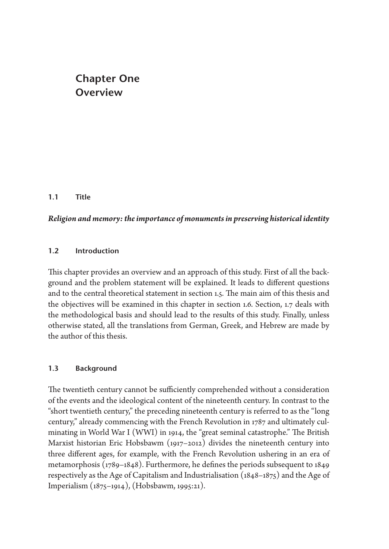# **Chapter One Overview**

# **1.1 Title**

# *Religion and memory: the importance of monuments in preserving historical identity*

## **1.2 Introduction**

This chapter provides an overview and an approach of this study. First of all the background and the problem statement will be explained. It leads to different questions and to the central theoretical statement in section 1.5. The main aim of this thesis and the objectives will be examined in this chapter in section 1.6. Section, 1.7 deals with the methodological basis and should lead to the results of this study. Finally, unless otherwise stated, all the translations from German, Greek, and Hebrew are made by the author of this thesis.

# **1.3 Background**

The twentieth century cannot be sufficiently comprehended without a consideration of the events and the ideological content of the nineteenth century. In contrast to the "short twentieth century," the preceding nineteenth century is referred to as the "long century," already commencing with the French Revolution in 1787 and ultimately culminating in World War I (WWI) in 1914, the "great seminal catastrophe." The British Marxist historian Eric Hobsbawm (1917–2012) divides the nineteenth century into three different ages, for example, with the French Revolution ushering in an era of metamorphosis (1789–1848). Furthermore, he defines the periods subsequent to 1849 respectively as the Age of Capitalism and Industrialisation (1848–1875) and the Age of Imperialism (1875–1914), (Hobsbawm, 1995:21).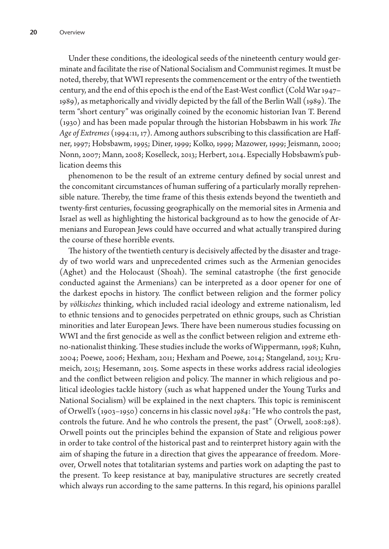Under these conditions, the ideological seeds of the nineteenth century would germinate and facilitate the rise of National Socialism and Communist regimes. It must be noted, thereby, that WWI represents the commencement or the entry of the twentieth century, and the end of this epoch is the end of the East-West conflict (Cold War 1947– 1989), as metaphorically and vividly depicted by the fall of the Berlin Wall (1989). The term "short century" was originally coined by the economic historian Ivan T. Berend (1930) and has been made popular through the historian Hobsbawm in his work *The Age of Extremes* (1994:11, 17). Among authors subscribing to this classification are Haffner, 1997; Hobsbawm, 1995; Diner, 1999; Kolko, 1999; Mazower, 1999; Jeismann, 2000; Nonn, 2007; Mann, 2008; Koselleck, 2013; Herbert, 2014. Especially Hobsbawm's publication deems this

phenomenon to be the result of an extreme century defined by social unrest and the concomitant circumstances of human suffering of a particularly morally reprehensible nature. Thereby, the time frame of this thesis extends beyond the twentieth and twenty-first centuries, focussing geographically on the memorial sites in Armenia and Israel as well as highlighting the historical background as to how the genocide of Armenians and European Jews could have occurred and what actually transpired during the course of these horrible events.

The history of the twentieth century is decisively affected by the disaster and tragedy of two world wars and unprecedented crimes such as the Armenian genocides (Aghet) and the Holocaust (Shoah). The seminal catastrophe (the first genocide conducted against the Armenians) can be interpreted as a door opener for one of the darkest epochs in history. The conflict between religion and the former policy by *völkisches* thinking, which included racial ideology and extreme nationalism, led to ethnic tensions and to genocides perpetrated on ethnic groups, such as Christian minorities and later European Jews. There have been numerous studies focussing on WWI and the first genocide as well as the conflict between religion and extreme ethno-nationalist thinking. These studies include the works of Wippermann, 1998; Kuhn, 2004; Poewe, 2006; Hexham, 2011; Hexham and Poewe, 2014; Stangeland, 2013; Krumeich, 2015; Hesemann, 2015. Some aspects in these works address racial ideologies and the conflict between religion and policy. The manner in which religious and political ideologies tackle history (such as what happened under the Young Turks and National Socialism) will be explained in the next chapters. This topic is reminiscent of Orwell's (1903–1950) concerns in his classic novel *1984*: "He who controls the past, controls the future. And he who controls the present, the past" (Orwell, 2008:298). Orwell points out the principles behind the expansion of State and religious power in order to take control of the historical past and to reinterpret history again with the aim of shaping the future in a direction that gives the appearance of freedom. Moreover, Orwell notes that totalitarian systems and parties work on adapting the past to the present. To keep resistance at bay, manipulative structures are secretly created which always run according to the same patterns. In this regard, his opinions parallel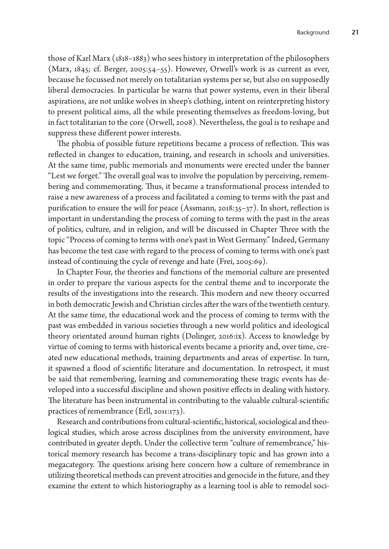those of Karl Marx (1818–1883) who sees history in interpretation of the philosophers (Marx, 1845; cf. Berger, 2005:54–55). However, Orwell's work is as current as ever, because he focussed not merely on totalitarian systems per se, but also on supposedly liberal democracies. In particular he warns that power systems, even in their liberal aspirations, are not unlike wolves in sheep's clothing, intent on reinterpreting history to present political aims, all the while presenting themselves as freedom-loving, but in fact totalitarian to the core (Orwell, 2008). Nevertheless, the goal is to reshape and suppress these different power interests.

The phobia of possible future repetitions became a process of reflection. This was reflected in changes to education, training, and research in schools and universities. At the same time, public memorials and monuments were erected under the banner "Lest we forget." The overall goal was to involve the population by perceiving, remembering and commemorating. Thus, it became a transformational process intended to raise a new awareness of a process and facilitated a coming to terms with the past and purification to ensure the will for peace (Assmann, 2018:35–37). In short, reflection is important in understanding the process of coming to terms with the past in the areas of politics, culture, and in religion, and will be discussed in Chapter Three with the topic "Process of coming to terms with one's past in West Germany." Indeed, Germany has become the test case with regard to the process of coming to terms with one's past instead of continuing the cycle of revenge and hate (Frei, 2005:69).

In Chapter Four, the theories and functions of the memorial culture are presented in order to prepare the various aspects for the central theme and to incorporate the results of the investigations into the research. This modern and new theory occurred in both democratic Jewish and Christian circles after the wars of the twentieth century. At the same time, the educational work and the process of coming to terms with the past was embedded in various societies through a new world politics and ideological theory orientated around human rights (Dolinger, 2016:ix). Access to knowledge by virtue of coming to terms with historical events became a priority and, over time, created new educational methods, training departments and areas of expertise. In turn, it spawned a flood of scientific literature and documentation. In retrospect, it must be said that remembering, learning and commemorating these tragic events has developed into a successful discipline and shown positive effects in dealing with history. The literature has been instrumental in contributing to the valuable cultural-scientific practices of remembrance (Erll, 2011:173).

Research and contributions from cultural-scientific, historical, sociological and theological studies, which arose across disciplines from the university environment, have contributed in greater depth. Under the collective term "culture of remembrance," historical memory research has become a trans-disciplinary topic and has grown into a megacategory. The questions arising here concern how a culture of remembrance in utilizing theoretical methods can prevent atrocities and genocide in the future, and they examine the extent to which historiography as a learning tool is able to remodel soci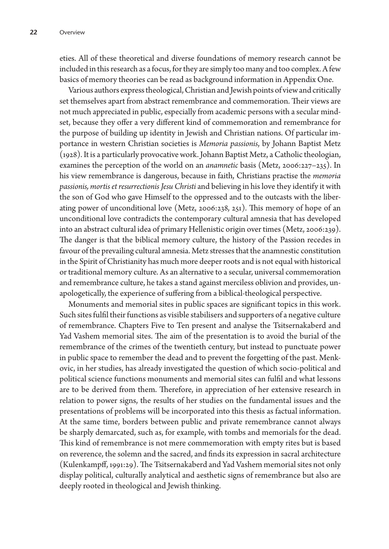eties. All of these theoretical and diverse foundations of memory research cannot be included in this research as a focus, for they are simply too many and too complex. A few basics of memory theories can be read as background information in Appendix One.

Various authors express theological, Christian and Jewish points of view and critically set themselves apart from abstract remembrance and commemoration. Their views are not much appreciated in public, especially from academic persons with a secular mindset, because they offer a very different kind of commemoration and remembrance for the purpose of building up identity in Jewish and Christian nations. Of particular importance in western Christian societies is *Memoria passionis*, by Johann Baptist Metz (1928). It is a particularly provocative work. Johann Baptist Metz, a Catholic theologian, examines the perception of the world on an *anamnetic* basis (Metz, 2006:227–235). In his view remembrance is dangerous, because in faith, Christians practise the *memoria passionis, mortis et resurrectionis Jesu Christi* and believing in his love they identify it with the son of God who gave Himself to the oppressed and to the outcasts with the liberating power of unconditional love (Metz, 2006:238, 251). This memory of hope of an unconditional love contradicts the contemporary cultural amnesia that has developed into an abstract cultural idea of primary Hellenistic origin over times (Metz, 2006:239). The danger is that the biblical memory culture, the history of the Passion recedes in favour of the prevailing cultural amnesia. Metz stresses that the anamnestic constitution in the Spirit of Christianity has much more deeper roots and is not equal with historical or traditional memory culture. As an alternative to a secular, universal commemoration and remembrance culture, he takes a stand against merciless oblivion and provides, unapologetically, the experience of suffering from a biblical-theological perspective.

Monuments and memorial sites in public spaces are significant topics in this work. Such sites fulfil their functions as visible stabilisers and supporters of a negative culture of remembrance. Chapters Five to Ten present and analyse the Tsitsernakaberd and Yad Vashem memorial sites. The aim of the presentation is to avoid the burial of the remembrance of the crimes of the twentieth century, but instead to punctuate power in public space to remember the dead and to prevent the forgetting of the past. Menkovic, in her studies, has already investigated the question of which socio-political and political science functions monuments and memorial sites can fulfil and what lessons are to be derived from them. Therefore, in appreciation of her extensive research in relation to power signs, the results of her studies on the fundamental issues and the presentations of problems will be incorporated into this thesis as factual information. At the same time, borders between public and private remembrance cannot always be sharply demarcated, such as, for example, with tombs and memorials for the dead. This kind of remembrance is not mere commemoration with empty rites but is based on reverence, the solemn and the sacred, and finds its expression in sacral architecture (Kulenkampff, 1991:29). The Tsitsernakaberd and Yad Vashem memorial sites not only display political, culturally analytical and aesthetic signs of remembrance but also are deeply rooted in theological and Jewish thinking.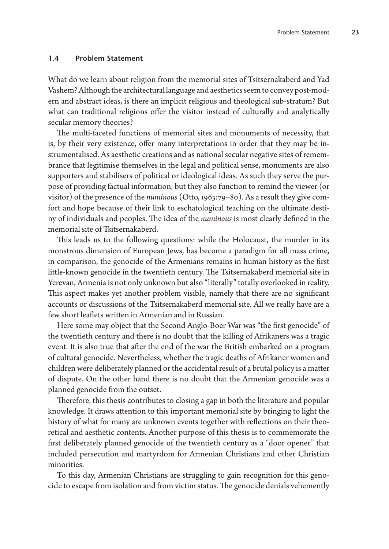#### **1.4 Problem Statement**

What do we learn about religion from the memorial sites of Tsitsernakaberd and Yad Vashem? Although the architectural language and aesthetics seem to convey post-modern and abstract ideas, is there an implicit religious and theological sub-stratum? But what can traditional religions offer the visitor instead of culturally and analytically secular memory theories?

The multi-faceted functions of memorial sites and monuments of necessity, that is, by their very existence, offer many interpretations in order that they may be instrumentalised. As aesthetic creations and as national secular negative sites of remembrance that legitimise themselves in the legal and political sense, monuments are also supporters and stabilisers of political or ideological ideas. As such they serve the purpose of providing factual information, but they also function to remind the viewer (or visitor) of the presence of the *numinous* (Otto, 1963:79–80). As a result they give comfort and hope because of their link to eschatological teaching on the ultimate destiny of individuals and peoples. The idea of the *numinous* is most clearly defined in the memorial site of Tsitsernakaberd.

This leads us to the following questions: while the Holocaust, the murder in its monstrous dimension of European Jews, has become a paradigm for all mass crime, in comparison, the genocide of the Armenians remains in human history as the first little-known genocide in the twentieth century. The Tsitsernakaberd memorial site in Yerevan, Armenia is not only unknown but also "literally" totally overlooked in reality. This aspect makes yet another problem visible, namely that there are no significant accounts or discussions of the Tsitsernakaberd memorial site. All we really have are a few short leaflets written in Armenian and in Russian.

Here some may object that the Second Anglo-Boer War was "the first genocide" of the twentieth century and there is no doubt that the killing of Afrikaners was a tragic event. It is also true that after the end of the war the British embarked on a program of cultural genocide. Nevertheless, whether the tragic deaths of Afrikaner women and children were deliberately planned or the accidental result of a brutal policy is a matter of dispute. On the other hand there is no doubt that the Armenian genocide was a planned genocide from the outset.

Therefore, this thesis contributes to closing a gap in both the literature and popular knowledge. It draws attention to this important memorial site by bringing to light the history of what for many are unknown events together with reflections on their theoretical and aesthetic contents. Another purpose of this thesis is to commemorate the first deliberately planned genocide of the twentieth century as a "door opener" that included persecution and martyrdom for Armenian Christians and other Christian minorities.

To this day, Armenian Christians are struggling to gain recognition for this genocide to escape from isolation and from victim status. The genocide denials vehemently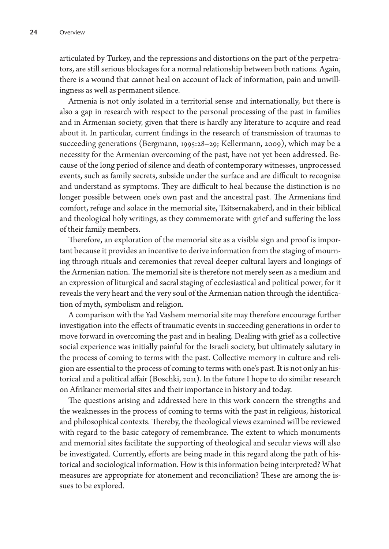articulated by Turkey, and the repressions and distortions on the part of the perpetrators, are still serious blockages for a normal relationship between both nations. Again, there is a wound that cannot heal on account of lack of information, pain and unwillingness as well as permanent silence.

Armenia is not only isolated in a territorial sense and internationally, but there is also a gap in research with respect to the personal processing of the past in families and in Armenian society, given that there is hardly any literature to acquire and read about it. In particular, current findings in the research of transmission of traumas to succeeding generations (Bergmann, 1995:28–29; Kellermann, 2009), which may be a necessity for the Armenian overcoming of the past, have not yet been addressed. Because of the long period of silence and death of contemporary witnesses, unprocessed events, such as family secrets, subside under the surface and are difficult to recognise and understand as symptoms. They are difficult to heal because the distinction is no longer possible between one's own past and the ancestral past. The Armenians find comfort, refuge and solace in the memorial site, Tsitsernakaberd, and in their biblical and theological holy writings, as they commemorate with grief and suffering the loss of their family members.

Therefore, an exploration of the memorial site as a visible sign and proof is important because it provides an incentive to derive information from the staging of mourning through rituals and ceremonies that reveal deeper cultural layers and longings of the Armenian nation. The memorial site is therefore not merely seen as a medium and an expression of liturgical and sacral staging of ecclesiastical and political power, for it reveals the very heart and the very soul of the Armenian nation through the identification of myth, symbolism and religion.

A comparison with the Yad Vashem memorial site may therefore encourage further investigation into the effects of traumatic events in succeeding generations in order to move forward in overcoming the past and in healing. Dealing with grief as a collective social experience was initially painful for the Israeli society, but ultimately salutary in the process of coming to terms with the past. Collective memory in culture and religion are essential to the process of coming to terms with one's past. It is not only an historical and a political affair (Boschki, 2011). In the future I hope to do similar research on Afrikaner memorial sites and their importance in history and today.

The questions arising and addressed here in this work concern the strengths and the weaknesses in the process of coming to terms with the past in religious, historical and philosophical contexts. Thereby, the theological views examined will be reviewed with regard to the basic category of remembrance. The extent to which monuments and memorial sites facilitate the supporting of theological and secular views will also be investigated. Currently, efforts are being made in this regard along the path of historical and sociological information. How is this information being interpreted? What measures are appropriate for atonement and reconciliation? These are among the issues to be explored.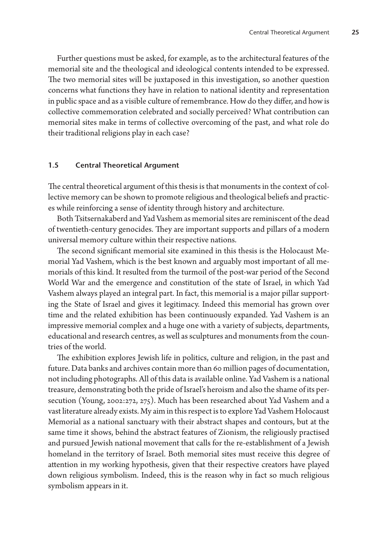Further questions must be asked, for example, as to the architectural features of the memorial site and the theological and ideological contents intended to be expressed. The two memorial sites will be juxtaposed in this investigation, so another question concerns what functions they have in relation to national identity and representation in public space and as a visible culture of remembrance. How do they differ, and how is collective commemoration celebrated and socially perceived? What contribution can memorial sites make in terms of collective overcoming of the past, and what role do their traditional religions play in each case?

## **1.5 Central Theoretical Argument**

The central theoretical argument of this thesis is that monuments in the context of collective memory can be shown to promote religious and theological beliefs and practices while reinforcing a sense of identity through history and architecture.

Both Tsitsernakaberd and Yad Vashem as memorial sites are reminiscent of the dead of twentieth-century genocides. They are important supports and pillars of a modern universal memory culture within their respective nations.

The second significant memorial site examined in this thesis is the Holocaust Memorial Yad Vashem, which is the best known and arguably most important of all memorials of this kind. It resulted from the turmoil of the post-war period of the Second World War and the emergence and constitution of the state of Israel, in which Yad Vashem always played an integral part. In fact, this memorial is a major pillar supporting the State of Israel and gives it legitimacy. Indeed this memorial has grown over time and the related exhibition has been continuously expanded. Yad Vashem is an impressive memorial complex and a huge one with a variety of subjects, departments, educational and research centres, as well as sculptures and monuments from the countries of the world.

The exhibition explores Jewish life in politics, culture and religion, in the past and future. Data banks and archives contain more than 60 million pages of documentation, not including photographs. All of this data is available online. Yad Vashem is a national treasure, demonstrating both the pride of Israel's heroism and also the shame of its persecution (Young, 2002:272, 275). Much has been researched about Yad Vashem and a vast literature already exists. My aim in this respect is to explore Yad Vashem Holocaust Memorial as a national sanctuary with their abstract shapes and contours, but at the same time it shows, behind the abstract features of Zionism, the religiously practised and pursued Jewish national movement that calls for the re-establishment of a Jewish homeland in the territory of Israel. Both memorial sites must receive this degree of attention in my working hypothesis, given that their respective creators have played down religious symbolism. Indeed, this is the reason why in fact so much religious symbolism appears in it.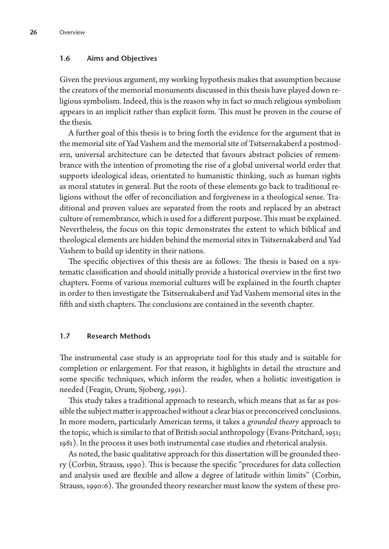### **1.6 Aims and Objectives**

Given the previous argument, my working hypothesis makes that assumption because the creators of the memorial monuments discussed in this thesis have played down religious symbolism. Indeed, this is the reason why in fact so much religious symbolism appears in an implicit rather than explicit form. This must be proven in the course of the thesis.

A further goal of this thesis is to bring forth the evidence for the argument that in the memorial site of Yad Vashem and the memorial site of Tsitsernakaberd a postmodern, universal architecture can be detected that favours abstract policies of remembrance with the intention of promoting the rise of a global universal world order that supports ideological ideas, orientated to humanistic thinking, such as human rights as moral statutes in general. But the roots of these elements go back to traditional religions without the offer of reconciliation and forgiveness in a theological sense. Traditional and proven values are separated from the roots and replaced by an abstract culture of remembrance, which is used for a different purpose. This must be explained. Nevertheless, the focus on this topic demonstrates the extent to which biblical and theological elements are hidden behind the memorial sites in Tsitsernakaberd and Yad Vashem to build up identity in their nations.

The specific objectives of this thesis are as follows: The thesis is based on a systematic classification and should initially provide a historical overview in the first two chapters. Forms of various memorial cultures will be explained in the fourth chapter in order to then investigate the Tsitsernakaberd and Yad Vashem memorial sites in the fifth and sixth chapters. The conclusions are contained in the seventh chapter.

# **1.7 Research Methods**

The instrumental case study is an appropriate tool for this study and is suitable for completion or enlargement. For that reason, it highlights in detail the structure and some specific techniques, which inform the reader, when a holistic investigation is needed (Feagin, Orum, Sjoberg, 1991).

This study takes a traditional approach to research, which means that as far as possible the subject matter is approached without a clear bias or preconceived conclusions. In more modern, particularly American terms, it takes a *grounded theory* approach to the topic, which is similar to that of British social anthropology (Evans-Pritchard, 1951; 1981). In the process it uses both instrumental case studies and rhetorical analysis.

As noted, the basic qualitative approach for this dissertation will be grounded theory (Corbin, Strauss, 1990). This is because the specific "procedures for data collection and analysis used are flexible and allow a degree of latitude within limits" (Corbin, Strauss, 1990:6). The grounded theory researcher must know the system of these pro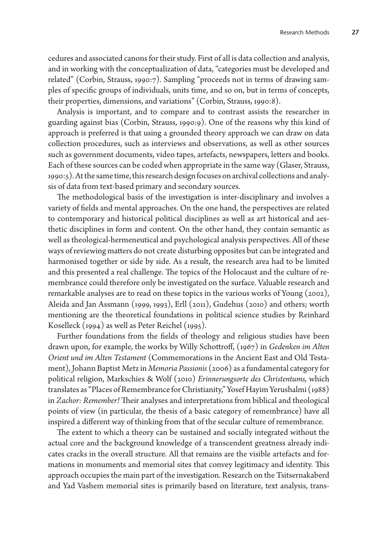cedures and associated canons for their study. First of all is data collection and analysis, and in working with the conceptualization of data, "categories must be developed and related" (Corbin, Strauss, 1990:7). Sampling "proceeds not in terms of drawing samples of specific groups of individuals, units time, and so on, but in terms of concepts, their properties, dimensions, and variations" (Corbin, Strauss, 1990:8).

Analysis is important, and to compare and to contrast assists the researcher in guarding against bias (Corbin, Strauss, 1990:9). One of the reasons why this kind of approach is preferred is that using a grounded theory approach we can draw on data collection procedures, such as interviews and observations, as well as other sources such as government documents, video tapes, artefacts, newspapers, letters and books. Each of these sources can be coded when appropriate in the same way (Glaser, Strauss, 1990:5). At the same time, this research design focuses on archival collections and analysis of data from text-based primary and secondary sources.

The methodological basis of the investigation is inter-disciplinary and involves a variety of fields and mental approaches. On the one hand, the perspectives are related to contemporary and historical political disciplines as well as art historical and aesthetic disciplines in form and content. On the other hand, they contain semantic as well as theological-hermeneutical and psychological analysis perspectives. All of these ways of reviewing matters do not create disturbing opposites but can be integrated and harmonised together or side by side. As a result, the research area had to be limited and this presented a real challenge. The topics of the Holocaust and the culture of remembrance could therefore only be investigated on the surface. Valuable research and remarkable analyses are to read on these topics in the various works of Young (2002), Aleida and Jan Assmann (1999, 1993), Erll (2011), Gudehus (2010) and others; worth mentioning are the theoretical foundations in political science studies by Reinhard Koselleck (1994) as well as Peter Reichel (1995).

Further foundations from the fields of theology and religious studies have been drawn upon, for example, the works by Willy Schottroff, (1967) in *Gedenken im Alten Orient und im Alten Testament* (Commemorations in the Ancient East and Old Testament), Johann Baptist Metz in *Memoria Passionis* (2006) as a fundamental category for political religion, Markschies & Wolf (2010) *Erinnerungsorte des Christentums,* which translates as "Places of Remembrance for Christianity," Yosef Hayim Yerushalmi (1988) in *Zachor: Remember!* Their analyses and interpretations from biblical and theological points of view (in particular, the thesis of a basic category of remembrance) have all inspired a different way of thinking from that of the secular culture of remembrance.

The extent to which a theory can be sustained and socially integrated without the actual core and the background knowledge of a transcendent greatness already indicates cracks in the overall structure. All that remains are the visible artefacts and formations in monuments and memorial sites that convey legitimacy and identity. This approach occupies the main part of the investigation. Research on the Tsitsernakaberd and Yad Vashem memorial sites is primarily based on literature, text analysis, trans